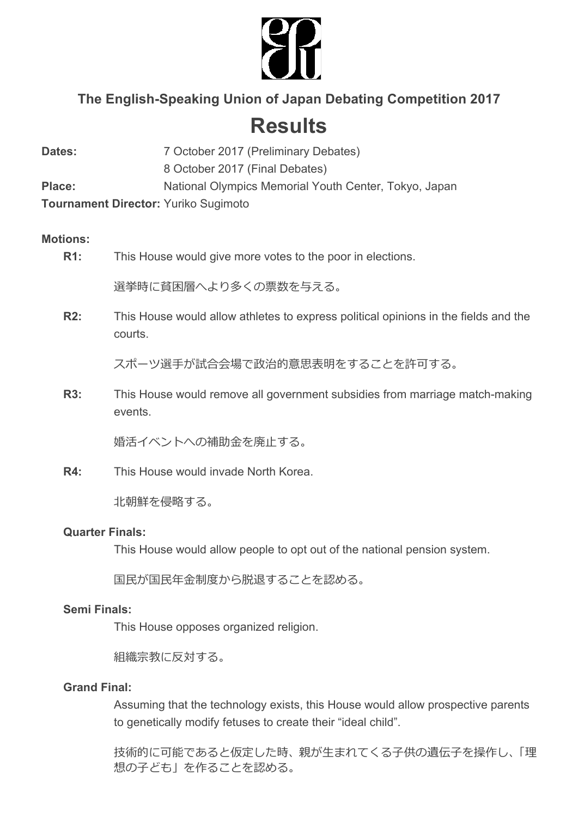

# **The English-Speaking Union of Japan Debating Competition 2017**

# **Results**

| Dates:                                      | 7 October 2017 (Preliminary Debates)                  |
|---------------------------------------------|-------------------------------------------------------|
|                                             | 8 October 2017 (Final Debates)                        |
| <b>Place:</b>                               | National Olympics Memorial Youth Center, Tokyo, Japan |
| <b>Tournament Director: Yuriko Sugimoto</b> |                                                       |

## **Motions:**

## **R1:** This House would give more votes to the poor in elections.

選挙時に貧困層へより多くの票数を与える。

**R2:** This House would allow athletes to express political opinions in the fields and the courts.

スポーツ選⼿が試合会場で政治的意思表明をすることを許可する。

**R3:** This House would remove all government subsidies from marriage match-making events.

婚活イベントへの補助金を廃止する。

**R4:** This House would invade North Korea.

北朝鮮を侵略する。

#### **Quarter Finals:**

This House would allow people to opt out of the national pension system.

国民が国民年金制度から脱退することを認める。

#### **Semi Finals:**

This House opposes organized religion.

組織宗教に反対する。

#### **Grand Final:**

Assuming that the technology exists, this House would allow prospective parents to genetically modify fetuses to create their "ideal child".

技術的に可能であると仮定した時、親が生まれてくる子供の遺伝子を操作し、「理 想の子ども」を作ることを認める。